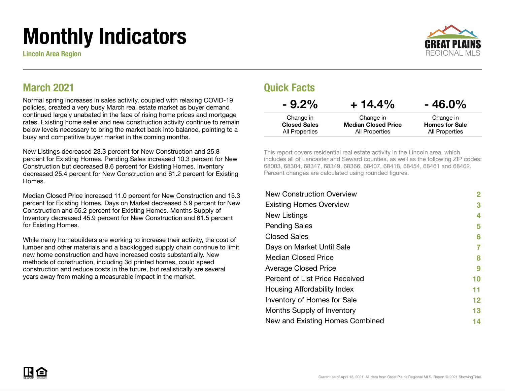# Monthly Indicators

Lincoln Area Region



#### March 2021

Normal spring increases in sales activity, coupled with relaxing COVID-19 policies, created a very busy March real estate market as buyer demand continued largely unabated in the face of rising home prices and mortgage rates. Existing home seller and new construction activity continue to remain below levels necessary to bring the market back into balance, pointing to a busy and competitive buyer market in the coming months.

New Listings decreased 23.3 percent for New Construction and 25.8 percent for Existing Homes. Pending Sales increased 10.3 percent for New Construction but decreased 8.6 percent for Existing Homes. Inventory decreased 25.4 percent for New Construction and 61.2 percent for Existing Homes.

Median Closed Price increased 11.0 percent for New Construction and 15.3 percent for Existing Homes. Days on Market decreased 5.9 percent for New Construction and 55.2 percent for Existing Homes. Months Supply of Inventory decreased 45.9 percent for New Construction and 61.5 percent for Existing Homes.

While many homebuilders are working to increase their activity, the cost of lumber and other materials and a backlogged supply chain continue to limit new home construction and have increased costs substantially. New methods of construction, including 3d printed homes, could speed construction and reduce costs in the future, but realistically are several years away from making a measurable impact in the market.

#### Quick Facts

| $-9.2\%$            | $+14.4\%$                  | $-46.0\%$             |
|---------------------|----------------------------|-----------------------|
| Change in           | Change in                  | Change in             |
| <b>Closed Sales</b> | <b>Median Closed Price</b> | <b>Homes for Sale</b> |
| All Properties      | All Properties             | All Properties        |

This report covers residential real estate activity in the Lincoln area, which includes all of Lancaster and Seward counties, as well as the following ZIP codes: 68003, 68304, 68347, 68349, 68366, 68407, 68418, 68454, 68461 and 68462. Percent changes are calculated using rounded figures.

| 2                 |
|-------------------|
| 3                 |
| 4                 |
| 5                 |
| 6                 |
| 7                 |
| 8                 |
| 9                 |
| 10                |
| 11                |
| $12 \ \mathsf{ }$ |
| 13                |
| 14                |
|                   |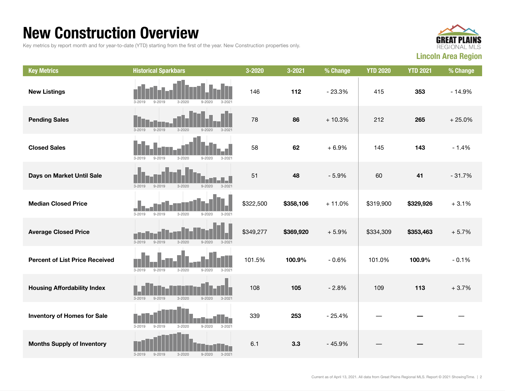#### New Construction Overview

Key metrics by report month and for year-to-date (YTD) starting from the first of the year. New Construction properties only.



| <b>Key Metrics</b>                    | <b>Historical Sparkbars</b>                                        | 3-2020    | 3-2021    | % Change | <b>YTD 2020</b> | <b>YTD 2021</b> | % Change |
|---------------------------------------|--------------------------------------------------------------------|-----------|-----------|----------|-----------------|-----------------|----------|
| <b>New Listings</b>                   | $9 - 2019$<br>$3 - 2020$<br>$3 - 2019$<br>$9 - 2020$<br>$3 - 202$  | 146       | 112       | $-23.3%$ | 415             | 353             | $-14.9%$ |
| <b>Pending Sales</b>                  | $3 - 2019$<br>$9 - 2019$<br>$3 - 2020$<br>$9 - 2020$<br>$3 - 2021$ | 78        | 86        | $+10.3%$ | 212             | 265             | $+25.0%$ |
| <b>Closed Sales</b>                   | $3 - 2019$<br>$9 - 2019$<br>$3 - 2020$<br>$9 - 2020$<br>$3 - 2021$ | 58        | 62        | $+6.9%$  | 145             | 143             | $-1.4%$  |
| Days on Market Until Sale             | $3 - 2019$<br>$3 - 2020$<br>$3 - 2021$<br>$9 - 2019$<br>$9 - 2020$ | 51        | 48        | $-5.9%$  | 60              | 41              | $-31.7%$ |
| <b>Median Closed Price</b>            | $3 - 2019$<br>$3 - 2020$<br>$9 - 2020$<br>$9 - 2019$<br>$3 - 2021$ | \$322,500 | \$358,106 | $+11.0%$ | \$319,900       | \$329,926       | $+3.1%$  |
| <b>Average Closed Price</b>           | $3 - 2019$<br>$9 - 2019$<br>$3 - 2020$<br>$9 - 2020$<br>$3 - 2021$ | \$349,277 | \$369,920 | $+5.9%$  | \$334,309       | \$353,463       | $+5.7%$  |
| <b>Percent of List Price Received</b> | $3 - 2019$<br>$9 - 2019$<br>$3 - 2020$<br>$9 - 2020$<br>$3 - 2021$ | 101.5%    | 100.9%    | $-0.6%$  | 101.0%          | 100.9%          | $-0.1%$  |
| <b>Housing Affordability Index</b>    | $3 - 2020$<br>$3 - 2019$<br>$9 - 2019$<br>$9 - 2020$<br>$3 - 2021$ | 108       | 105       | $-2.8%$  | 109             | 113             | $+3.7%$  |
| <b>Inventory of Homes for Sale</b>    | $3 - 2019$<br>$3 - 2020$<br>$9 - 2020$<br>$3 - 2021$<br>$9 - 2019$ | 339       | 253       | $-25.4%$ |                 |                 |          |
| <b>Months Supply of Inventory</b>     | $3 - 2020$<br>$9 - 2020$<br>$3 - 2019$<br>$9 - 2019$<br>$3 - 2021$ | 6.1       | 3.3       | $-45.9%$ |                 |                 |          |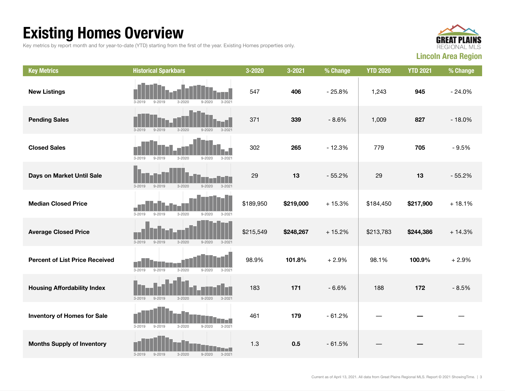## Existing Homes Overview

Key metrics by report month and for year-to-date (YTD) starting from the first of the year. Existing Homes properties only.



| <b>Key Metrics</b>                    | <b>Historical Sparkbars</b>                                              | 3-2020    | $3 - 2021$ | % Change | <b>YTD 2020</b> | <b>YTD 2021</b> | % Change |
|---------------------------------------|--------------------------------------------------------------------------|-----------|------------|----------|-----------------|-----------------|----------|
| <b>New Listings</b>                   | $3 - 2019$<br>$9 - 2019$<br>$3 - 202$<br>3-2020<br>$9 - 2020$            | 547       | 406        | $-25.8%$ | 1,243           | 945             | $-24.0%$ |
| <b>Pending Sales</b>                  | $9 - 2019$<br>$3 - 2020$<br>$3 - 2019$<br>$9 - 2020$<br>$3 - 2021$       | 371       | 339        | $-8.6%$  | 1,009           | 827             | $-18.0%$ |
| <b>Closed Sales</b>                   | $3 - 2019$<br>$9 - 2019$<br>$3 - 2020$<br>$9 - 2020$<br>$3 - 202$        | 302       | 265        | $-12.3%$ | 779             | 705             | $-9.5%$  |
| Days on Market Until Sale             | $3 - 2019$<br>$9 - 2019$<br>$3 - 2020$<br>$9 - 2020$<br>$3 - 2021$       | 29        | 13         | $-55.2%$ | 29              | 13              | $-55.2%$ |
| <b>Median Closed Price</b>            | $3 - 2019$<br>$9 - 2019$<br>$3 - 2020$<br>$9 - 2020$<br>$3 - 2021$       | \$189,950 | \$219,000  | $+15.3%$ | \$184,450       | \$217,900       | $+18.1%$ |
| <b>Average Closed Price</b>           | $3 - 2019$<br>$3 - 2020$<br>$9 - 2020$<br>$9 - 2019$<br>$3 - 2021$       | \$215,549 | \$248,267  | $+15.2%$ | \$213,783       | \$244,386       | $+14.3%$ |
| <b>Percent of List Price Received</b> | $3 - 2019$<br>$9 - 2019$<br>$3 - 2020$<br>$9 - 2020$<br>$3 - 2021$       | 98.9%     | 101.8%     | $+2.9%$  | 98.1%           | 100.9%          | $+2.9%$  |
| <b>Housing Affordability Index</b>    | $3 - 2019$<br>$9 - 2019$<br>$3 - 2020$<br>$9 - 2020$<br>$3 - 2021$       | 183       | 171        | $-6.6%$  | 188             | 172             | $-8.5%$  |
| <b>Inventory of Homes for Sale</b>    | $3 - 2019$<br>$9 - 2019$<br>$3 - 2020$<br>$9 - 2020$<br>$3 - 2021$       | 461       | 179        | $-61.2%$ |                 |                 |          |
| <b>Months Supply of Inventory</b>     | п.<br>$3 - 2019$<br>$9 - 2019$<br>$3 - 2020$<br>$9 - 2020$<br>$3 - 2021$ | 1.3       | 0.5        | $-61.5%$ |                 |                 |          |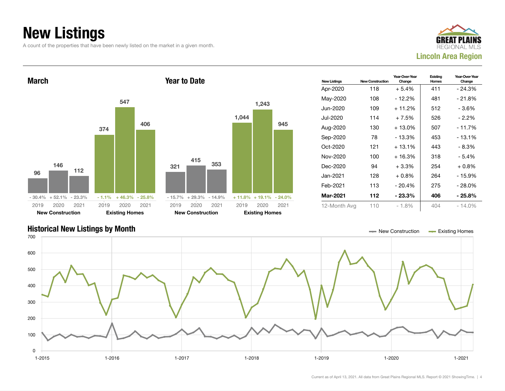## New Listings

A count of the properties that have been newly listed on the market in a given month.





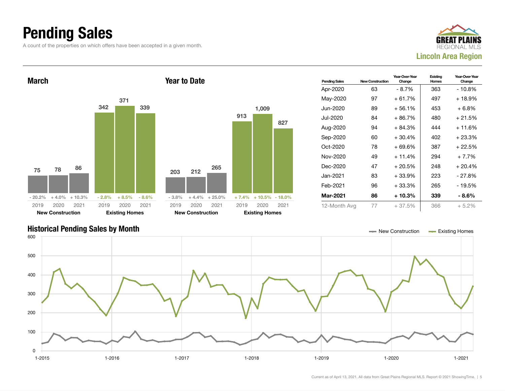### Pending Sales

A count of the properties on which offers have been accepted in a given month.





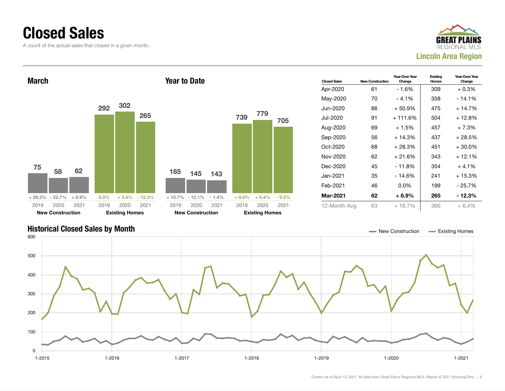#### Closed Sales

A count of the actual sales that closed in a given month.





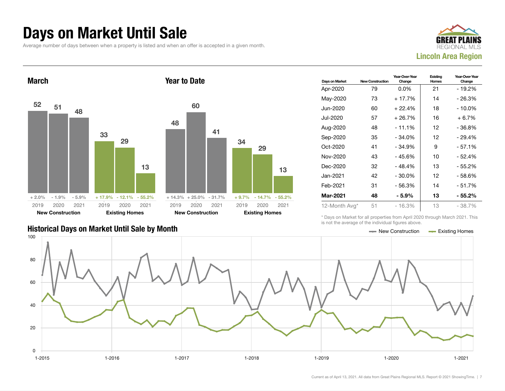#### Days on Market Until Sale

Average number of days between when a property is listed and when an offer is accepted in a given month.





|                                               | TO TIOL LITO QV OTQQO OT LITO IITQIVIQQI TIGQI OO QDOVO. |  |
|-----------------------------------------------|----------------------------------------------------------|--|
| Historical Days on Market Until Sale by Month | $\equiv$ New Construction $\equiv$ Existing Homes        |  |

| Days on Market | <b>New Construction</b> | Year-Over-Year<br>Change | Existing<br>Homes | Year-Over-Year<br>Change |
|----------------|-------------------------|--------------------------|-------------------|--------------------------|
| Apr-2020       | 79                      | $0.0\%$                  | 21                | - 19.2%                  |
| May-2020       | 73                      | + 17.7%                  | 14                | - 26.3%                  |
| Jun-2020       | 60                      | $+22.4%$                 | 18                | - 10.0%                  |
| Jul-2020       | 57                      | $+26.7%$                 | 16                | $+6.7%$                  |
| Aug-2020       | 48                      | - 11.1%                  | 12                | - 36.8%                  |
| Sep-2020       | 35                      | $-34.0%$                 | 12                | - 29.4%                  |
| Oct-2020       | 41                      | $-34.9%$                 | 9                 | $-57.1%$                 |
| Nov-2020       | 43                      | - 45.6%                  | 10                | - 52.4%                  |
| Dec-2020       | 32                      | $-48.4%$                 | 13                | - 55.2%                  |
| Jan-2021       | 42                      | $-30.0\%$                | 12                | - 58.6%                  |
| Feb-2021       | 31                      | $-56.3%$                 | 14                | - 51.7%                  |
| Mar-2021       | 48                      | - 5.9%                   | 13                | - 55.2%                  |
| 12-Month Avg*  | 51                      | $-16.3%$                 | 13                | - 38.7%                  |

\* Days on Market for all properties from April 2020 through March 2021. This is not the average of the individual figures above.

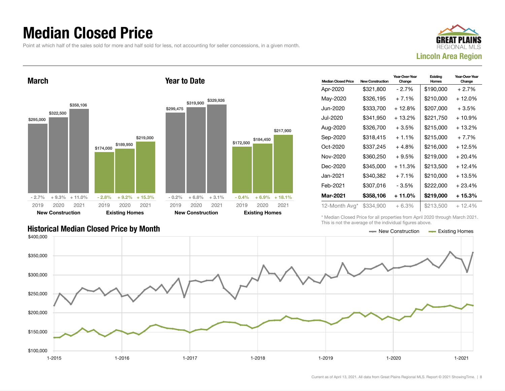#### Median Closed Price

Point at which half of the sales sold for more and half sold for less, not accounting for seller concessions, in a given month.





| <b>Median Closed Price</b> | <b>New Construction</b> | Year-Over-Year<br>Change | Existing<br>Homes | Year-Over-Year<br>Change |
|----------------------------|-------------------------|--------------------------|-------------------|--------------------------|
| Apr-2020                   | \$321,800               | - 2.7%                   | \$190,000         | $+2.7%$                  |
| May-2020                   | \$326,195               | $+7.1%$                  | \$210,000         | + 12.0%                  |
| Jun-2020.                  | \$333,700               | $+12.8%$                 | \$207,000         | $+3.5%$                  |
| Jul-2020                   | \$341,950               | + 13.2%                  | \$221,750         | + 10.9%                  |
| Aug-2020                   | \$326.700               | $+3.5%$                  | \$215,000         | + 13.2%                  |
| Sep-2020                   | \$318,415               | $+1.1\%$                 | \$215,000         | $+7.7%$                  |
| Oct-2020                   | \$337,245               | $+4.8%$                  | \$216,000         | + 12.5%                  |
| Nov-2020                   | \$360,250               | $+9.5%$                  | \$219,000         | $+20.4%$                 |
| Dec-2020                   | \$345,000               | $+11.3%$                 | \$213,500         | $+12.4%$                 |
| Jan-2021                   | \$340,382               | $+7.1%$                  | \$210,000         | + 13.5%                  |
| Feb-2021                   | \$307,016               | - 3.5%                   | \$222,000         | $+23.4%$                 |
| <b>Mar-2021</b>            | \$358,106               | + 11.0%                  | \$219,000         | + 15.3%                  |
| 12-Month Avg*              | \$334,900               | $+6.3%$                  | \$213,500         | $+12.4%$                 |

\* Median Closed Price for all properties from April 2020 through March 2021. This is not the average of the individual figures above.



\$217,900

Historical Median Closed Price by Month **New Construction According Closed Price by Month** New Construction According Homes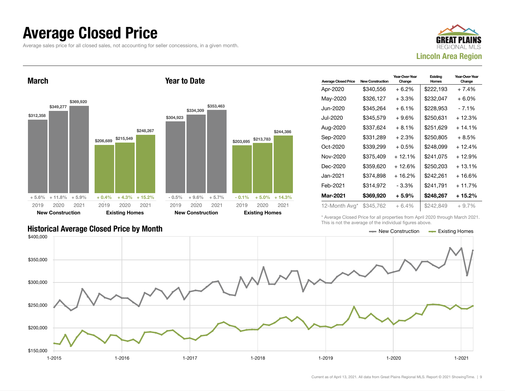#### Average Closed Price

Average sales price for all closed sales, not accounting for seller concessions, in a given month.



March



Year to Date

| <b>Average Closed Price</b> | <b>New Construction</b> | Year-Over-Year<br>Change | Existing<br>Homes | Year-Over-Year<br>Change |
|-----------------------------|-------------------------|--------------------------|-------------------|--------------------------|
| Apr-2020                    | \$340.556               | $+6.2\%$                 | \$222,193         | $+7.4%$                  |
| May-2020                    | \$326,127               | $+3.3\%$                 | \$232,047         | $+6.0\%$                 |
| Jun-2020.                   | \$345,264               | $+6.1%$                  | \$228,953         | - 7.1%                   |
| Jul-2020                    | \$345,579               | $+9.6%$                  | \$250,631         | + 12.3%                  |
| Aug-2020                    | \$337,624               | $+8.1%$                  | \$251,629         | $+14.1%$                 |
| Sep-2020                    | \$331,289               | $+2.3%$                  | \$250,805         | $+8.5%$                  |
| Oct-2020                    | \$339,299               | $+0.5%$                  | \$248,099         | + 12.4%                  |
| Nov-2020                    | \$375,409               | $+12.1%$                 | \$241,075         | + 12.9%                  |
| Dec-2020                    | \$359,620               | + 12.6%                  | \$250,203         | + 13.1%                  |
| Jan-2021                    | \$374.898               | $+16.2%$                 | \$242,261         | $+16.6%$                 |
| Feb-2021                    | \$314,972               | - 3.3%                   | \$241,791         | $+11.7%$                 |
| <b>Mar-2021</b>             | \$369,920               | $+5.9%$                  | \$248,267         | + 15.2%                  |
| 12-Month Avg*               | \$345,762               | $+6.4%$                  | \$242,849         | $+9.7%$                  |

\* Average Closed Price for all properties from April 2020 through March 2021. This is not the average of the individual figures above.

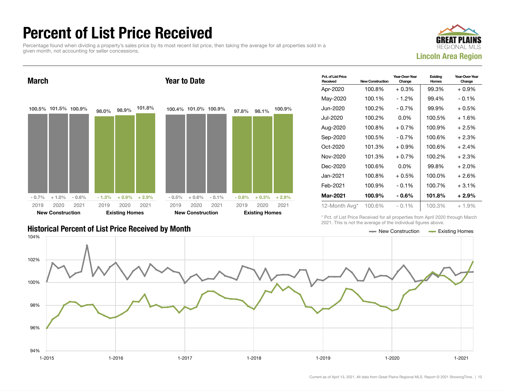### Percent of List Price Received

Percentage found when dividing a property's sales price by its most recent list price, then taking the average for all properties sold in a given month, not accounting for seller concessions.



Year-Over-Year

**Existing** 

Pct. of List Price March 100.5% 101.5% 100.9%  $-0.7\% + 1.0\% - 0.6\%$ 98.0% 98.9% 101.8%  $-1.3\%$   $+0.9\%$   $+2.9\%$ 2019 New Construction 2020 2021 2019 Existing Homes 2020 2021 Year to Date 100.4% 101.0% 100.9%  $-0.5\% + 0.6\% - 0.1\%$ 97.8% 98.1% 100.9%  $-0.8\%$   $+0.3\%$   $+2.9\%$ 2019 New Construction 2020 2021 2019 Existing Homes 2020 2021

#### Historical Percent of List Price Received by Month New Construction According Homes

| Received          | <b>New Construction</b> | Change   | Homes  | Change  |
|-------------------|-------------------------|----------|--------|---------|
| Apr-2020          | 100.8%                  | $+0.3%$  | 99.3%  | $+0.9%$ |
| May-2020          | 100.1%                  | $-1.2%$  | 99.4%  | $-0.1%$ |
| Jun-2020          | 100.2%                  | $-0.7%$  | 99.9%  | $+0.5%$ |
| Jul-2020          | 100.2%                  | $0.0\%$  | 100.5% | $+1.6%$ |
| Aug-2020          | 100.8%                  | $+0.7%$  | 100.9% | $+2.5%$ |
| Sep-2020          | 100.5%                  | $-0.7\%$ | 100.6% | $+2.3%$ |
| Oct-2020          | 101.3%                  | $+0.9\%$ | 100.6% | $+2.4%$ |
| Nov-2020          | 101.3%                  | $+0.7\%$ | 100.2% | $+2.3%$ |
| Dec-2020          | 100.6%                  | $0.0\%$  | 99.8%  | $+2.0%$ |
| Jan-2021 <b>.</b> | 100.8%                  | $+0.5%$  | 100.0% | $+2.6%$ |
| Feb-2021          | 100.9%                  | $-0.1\%$ | 100.7% | $+3.1%$ |
| <b>Mar-2021</b>   | 100.9%                  | $-0.6\%$ | 101.8% | $+2.9%$ |
| 12-Month Avg*     | 100.6%                  | $-0.1%$  | 100.3% | $+1.9%$ |

Year-Over-Yea

\* Pct. of List Price Received for all properties from April 2020 through March 2021. This is not the average of the individual figures above.

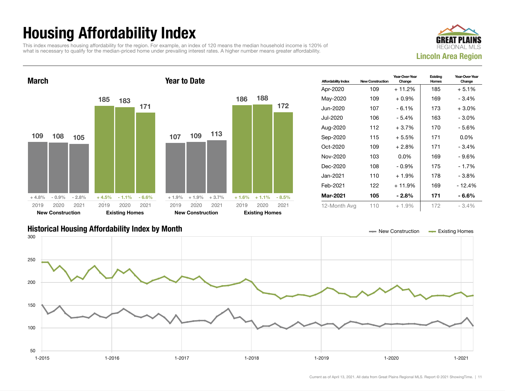## Housing Affordability Index

This index measures housing affordability for the region. For example, an index of 120 means the median household income is 120% of what is necessary to qualify for the median-priced home under prevailing interest rates. A higher number means greater affordability.





| <b>Affordability Index</b> | <b>New Construction</b> | Year-Over-Year<br>Change | Existing<br>Homes | Year-Over-Year<br>Change |
|----------------------------|-------------------------|--------------------------|-------------------|--------------------------|
| Apr-2020                   | 109                     | $+11.2%$                 | 185               | $+5.1%$                  |
| May-2020                   | 109                     | $+0.9\%$                 | 169               | $-3.4%$                  |
| Jun-2020.                  | 107                     | - 6.1%                   | 173               | $+3.0\%$                 |
| Jul-2020                   | 106                     | - 5.4%                   | 163               | $-3.0\%$                 |
| Aug-2020                   | 112                     | $+3.7%$                  | 170               | - 5.6%                   |
| Sep-2020                   | 115                     | $+5.5%$                  | 171               | $0.0\%$                  |
| $Oct-2020$                 | 109                     | $+2.8\%$                 | 171               | $-3.4%$                  |
| Nov-2020                   | 103                     | $0.0\%$                  | 169               | - 9.6%                   |
| Dec-2020                   | 108                     | $-0.9\%$                 | 175               | - 1.7%                   |
| Jan-2021                   | 110                     | $+1.9%$                  | 178               | $-3.8%$                  |
| Feb-2021                   | 122                     | $+11.9%$                 | 169               | - 12.4%                  |
| Mar-2021                   | 105                     | $-2.8%$                  | 171               | - 6.6%                   |
| 12-Month Avg               | 110                     | $+1.9%$                  | 172               | $-3.4%$                  |

#### Historical Housing Affordability Index by Month New Construction Existing Homes

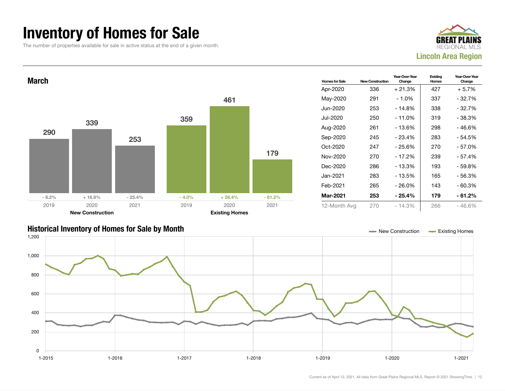#### Inventory of Homes for Sale

The number of properties available for sale in active status at the end of a given month.





#### Historical Inventory of Homes for Sale by Month New Construction Existing Homes

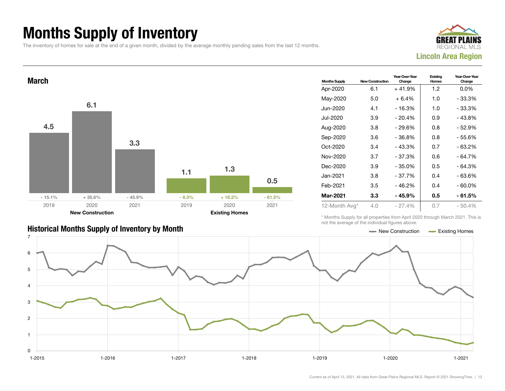## Months Supply of Inventory

The inventory of homes for sale at the end of a given month, divided by the average monthly pending sales from the last 12 months.





| <b>Historical Months Supply of Inventory by Month</b> | — New Construction | - Existing Homes |
|-------------------------------------------------------|--------------------|------------------|

| <b>Months Supply</b> | <b>New Construction</b> | Year-Over-Year<br>Change | Existing<br>Homes | Year-Over-Year<br>Change |
|----------------------|-------------------------|--------------------------|-------------------|--------------------------|
| Apr-2020             | 6.1                     | $+41.9%$                 | 1.2               | $0.0\%$                  |
| May-2020             | 5.0                     | $+6.4%$                  | 1.0               | - 33.3%                  |
| Jun-2020             | 4.1                     | - 16.3%                  | 1.0               | - 33.3%                  |
| Jul-2020             | 3.9                     | $-20.4%$                 | 0.9               | $-43.8%$                 |
| Aug-2020             | 3.8                     | $-29.6%$                 | 0.8               | - 52.9%                  |
| Sep-2020             | 3.6                     | - 36.8%                  | 0.8               | - 55.6%                  |
| Oct-2020             | 3.4                     | $-43.3%$                 | 0.7               | - 63.2%                  |
| Nov-2020             | 3.7                     | $-37.3%$                 | 0.6               | - 64.7%                  |
| Dec-2020             | 3.9                     | - 35.0%                  | 0.5               | - 64.3%                  |
| Jan-2021 <b>.</b>    | 3.8                     | $-37.7%$                 | 0.4               | - 63.6%                  |
| Feb-2021             | 3.5                     | - 46.2%                  | 0.4               | $-60.0\%$                |
| Mar-2021             | 3.3                     | - 45.9%                  | 0.5               | - 61.5%                  |
| 12-Month Avg*        | 4.0                     | $-27.4%$                 | 0.7               | $-50.4\%$                |

\* Months Supply for all properties from April 2020 through March 2021. This is not the average of the individual figures above.